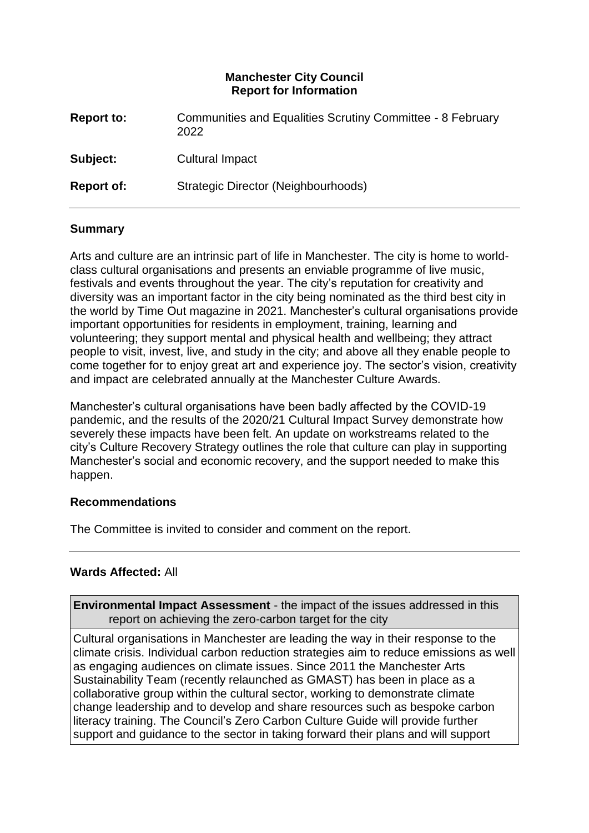## **Manchester City Council Report for Information**

| <b>Report to:</b> | Communities and Equalities Scrutiny Committee - 8 February<br>2022 |
|-------------------|--------------------------------------------------------------------|
| Subject:          | Cultural Impact                                                    |
| <b>Report of:</b> | Strategic Director (Neighbourhoods)                                |

## **Summary**

Arts and culture are an intrinsic part of life in Manchester. The city is home to worldclass cultural organisations and presents an enviable programme of live music, festivals and events throughout the year. The city's reputation for creativity and diversity was an important factor in the city being nominated as the third best city in the world by Time Out magazine in 2021. Manchester's cultural organisations provide important opportunities for residents in employment, training, learning and volunteering; they support mental and physical health and wellbeing; they attract people to visit, invest, live, and study in the city; and above all they enable people to come together for to enjoy great art and experience joy. The sector's vision, creativity and impact are celebrated annually at the Manchester Culture Awards.

Manchester's cultural organisations have been badly affected by the COVID-19 pandemic, and the results of the 2020/21 Cultural Impact Survey demonstrate how severely these impacts have been felt. An update on workstreams related to the city's Culture Recovery Strategy outlines the role that culture can play in supporting Manchester's social and economic recovery, and the support needed to make this happen.

#### **Recommendations**

The Committee is invited to consider and comment on the report.

## **Wards Affected:** All

**Environmental Impact Assessment** - the impact of the issues addressed in this report on achieving the zero-carbon target for the city

Cultural organisations in Manchester are leading the way in their response to the climate crisis. Individual carbon reduction strategies aim to reduce emissions as well as engaging audiences on climate issues. Since 2011 the Manchester Arts Sustainability Team (recently relaunched as GMAST) has been in place as a collaborative group within the cultural sector, working to demonstrate climate change leadership and to develop and share resources such as bespoke carbon literacy training. The Council's Zero Carbon Culture Guide will provide further support and guidance to the sector in taking forward their plans and will support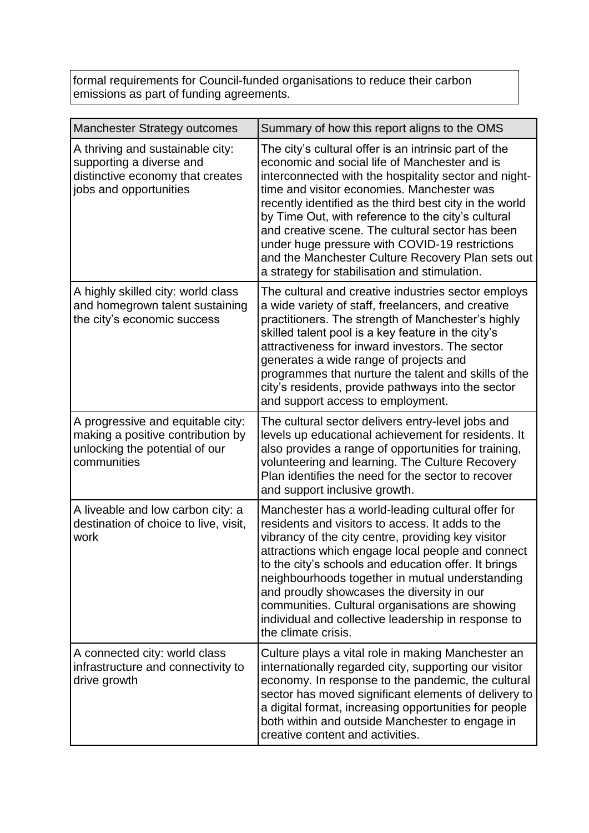formal requirements for Council-funded organisations to reduce their carbon emissions as part of funding agreements.

| <b>Manchester Strategy outcomes</b>                                                                                        | Summary of how this report aligns to the OMS                                                                                                                                                                                                                                                                                                                                                                                                                                                                                               |  |  |
|----------------------------------------------------------------------------------------------------------------------------|--------------------------------------------------------------------------------------------------------------------------------------------------------------------------------------------------------------------------------------------------------------------------------------------------------------------------------------------------------------------------------------------------------------------------------------------------------------------------------------------------------------------------------------------|--|--|
| A thriving and sustainable city:<br>supporting a diverse and<br>distinctive economy that creates<br>jobs and opportunities | The city's cultural offer is an intrinsic part of the<br>economic and social life of Manchester and is<br>interconnected with the hospitality sector and night-<br>time and visitor economies. Manchester was<br>recently identified as the third best city in the world<br>by Time Out, with reference to the city's cultural<br>and creative scene. The cultural sector has been<br>under huge pressure with COVID-19 restrictions<br>and the Manchester Culture Recovery Plan sets out<br>a strategy for stabilisation and stimulation. |  |  |
| A highly skilled city: world class<br>and homegrown talent sustaining<br>the city's economic success                       | The cultural and creative industries sector employs<br>a wide variety of staff, freelancers, and creative<br>practitioners. The strength of Manchester's highly<br>skilled talent pool is a key feature in the city's<br>attractiveness for inward investors. The sector<br>generates a wide range of projects and<br>programmes that nurture the talent and skills of the<br>city's residents, provide pathways into the sector<br>and support access to employment.                                                                      |  |  |
| A progressive and equitable city:<br>making a positive contribution by<br>unlocking the potential of our<br>communities    | The cultural sector delivers entry-level jobs and<br>levels up educational achievement for residents. It<br>also provides a range of opportunities for training,<br>volunteering and learning. The Culture Recovery<br>Plan identifies the need for the sector to recover<br>and support inclusive growth.                                                                                                                                                                                                                                 |  |  |
| A liveable and low carbon city: a<br>destination of choice to live, visit,<br>work                                         | Manchester has a world-leading cultural offer for<br>residents and visitors to access. It adds to the<br>vibrancy of the city centre, providing key visitor<br>attractions which engage local people and connect<br>to the city's schools and education offer. It brings<br>neighbourhoods together in mutual understanding<br>and proudly showcases the diversity in our<br>communities. Cultural organisations are showing<br>individual and collective leadership in response to<br>the climate crisis.                                 |  |  |
| A connected city: world class<br>infrastructure and connectivity to<br>drive growth                                        | Culture plays a vital role in making Manchester an<br>internationally regarded city, supporting our visitor<br>economy. In response to the pandemic, the cultural<br>sector has moved significant elements of delivery to<br>a digital format, increasing opportunities for people<br>both within and outside Manchester to engage in<br>creative content and activities.                                                                                                                                                                  |  |  |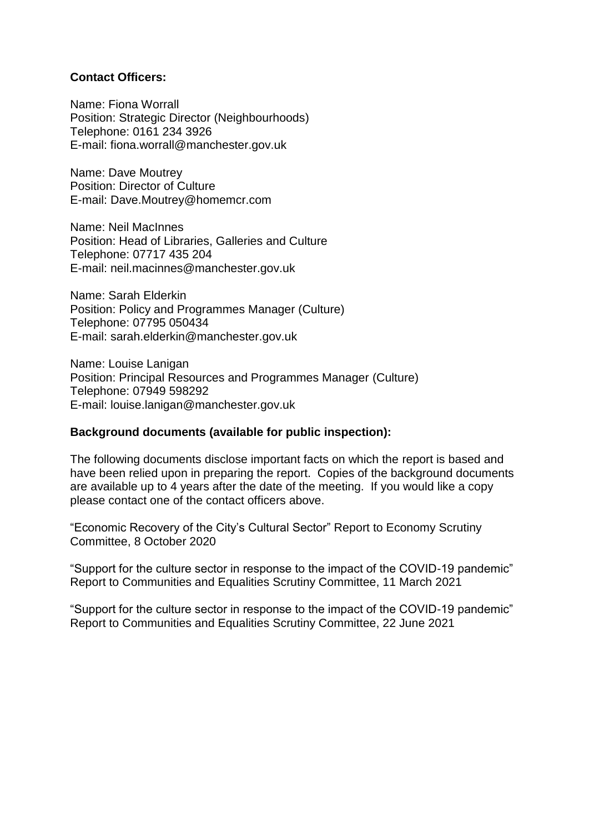#### **Contact Officers:**

Name: Fiona Worrall Position: Strategic Director (Neighbourhoods) Telephone: 0161 234 3926 E-mail: [fiona.worrall@manchester.gov.uk](mailto:fiona.worrall@manchester.gov.uk)

Name: Dave Moutrey Position: Director of Culture E-mail: [Dave.Moutrey@homemcr.com](mailto:Dave.Moutrey@homemcr.com)

Name: Neil MacInnes Position: Head of Libraries, Galleries and Culture Telephone: 07717 435 204 E-mail: [neil.macinnes@manchester.gov.uk](mailto:neil.macinnes@manchester.gov.uk)

Name: Sarah Elderkin Position: Policy and Programmes Manager (Culture) Telephone: 07795 050434 E-mail: [sarah.elderkin@manchester.gov.uk](mailto:sarah.elderkin@manchester.gov.uk)

Name: Louise Lanigan Position: Principal Resources and Programmes Manager (Culture) Telephone: 07949 598292 E-mail: [louise.lanigan@manchester.gov.uk](mailto:louise.lanigan@manchester.gov.uk)

#### **Background documents (available for public inspection):**

The following documents disclose important facts on which the report is based and have been relied upon in preparing the report. Copies of the background documents are available up to 4 years after the date of the meeting. If you would like a copy please contact one of the contact officers above.

"Economic Recovery of the City's Cultural Sector" Report to Economy Scrutiny Committee, 8 October 2020

"Support for the culture sector in response to the impact of the COVID-19 pandemic" Report to Communities and Equalities Scrutiny Committee, 11 March 2021

"Support for the culture sector in response to the impact of the COVID-19 pandemic" Report to Communities and Equalities Scrutiny Committee, 22 June 2021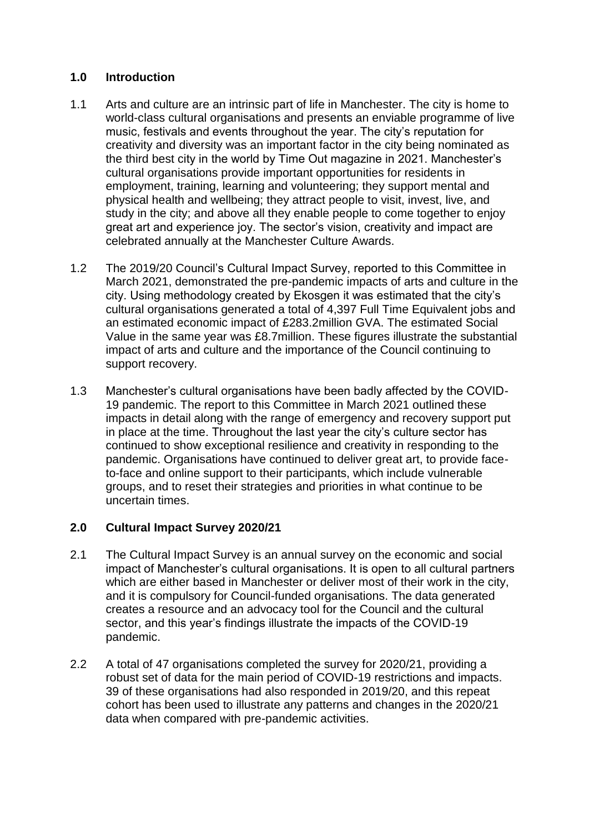## **1.0 Introduction**

- 1.1 Arts and culture are an intrinsic part of life in Manchester. The city is home to world-class cultural organisations and presents an enviable programme of live music, festivals and events throughout the year. The city's reputation for creativity and diversity was an important factor in the city being nominated as the third best city in the world by Time Out magazine in 2021. Manchester's cultural organisations provide important opportunities for residents in employment, training, learning and volunteering; they support mental and physical health and wellbeing; they attract people to visit, invest, live, and study in the city; and above all they enable people to come together to enjoy great art and experience joy. The sector's vision, creativity and impact are celebrated annually at the Manchester Culture Awards.
- 1.2 The 2019/20 Council's Cultural Impact Survey, reported to this Committee in March 2021, demonstrated the pre-pandemic impacts of arts and culture in the city. Using methodology created by Ekosgen it was estimated that the city's cultural organisations generated a total of 4,397 Full Time Equivalent jobs and an estimated economic impact of £283.2million GVA. The estimated Social Value in the same year was £8.7million. These figures illustrate the substantial impact of arts and culture and the importance of the Council continuing to support recovery.
- 1.3 Manchester's cultural organisations have been badly affected by the COVID-19 pandemic. The report to this Committee in March 2021 outlined these impacts in detail along with the range of emergency and recovery support put in place at the time. Throughout the last year the city's culture sector has continued to show exceptional resilience and creativity in responding to the pandemic. Organisations have continued to deliver great art, to provide faceto-face and online support to their participants, which include vulnerable groups, and to reset their strategies and priorities in what continue to be uncertain times.

## **2.0 Cultural Impact Survey 2020/21**

- 2.1 The Cultural Impact Survey is an annual survey on the economic and social impact of Manchester's cultural organisations. It is open to all cultural partners which are either based in Manchester or deliver most of their work in the city, and it is compulsory for Council-funded organisations. The data generated creates a resource and an advocacy tool for the Council and the cultural sector, and this year's findings illustrate the impacts of the COVID-19 pandemic.
- 2.2 A total of 47 organisations completed the survey for 2020/21, providing a robust set of data for the main period of COVID-19 restrictions and impacts. 39 of these organisations had also responded in 2019/20, and this repeat cohort has been used to illustrate any patterns and changes in the 2020/21 data when compared with pre-pandemic activities.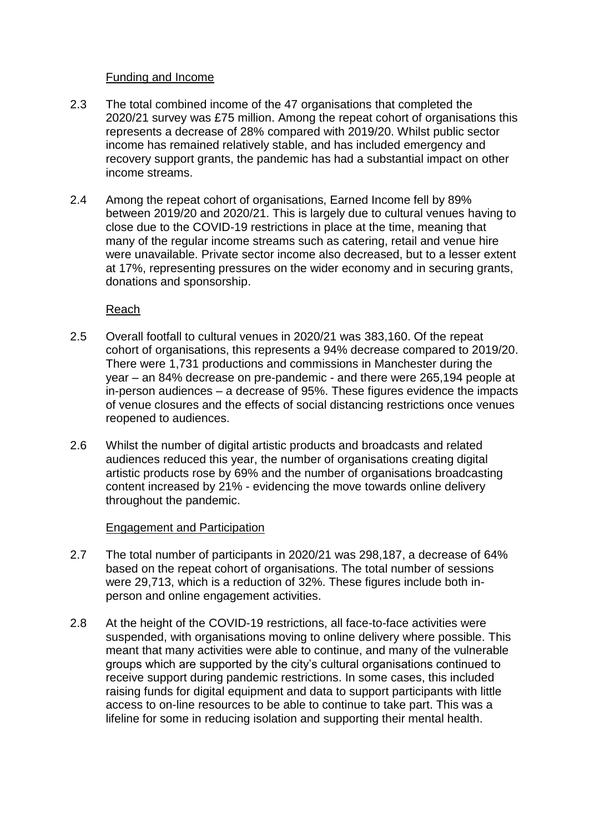## Funding and Income

- 2.3 The total combined income of the 47 organisations that completed the 2020/21 survey was £75 million. Among the repeat cohort of organisations this represents a decrease of 28% compared with 2019/20. Whilst public sector income has remained relatively stable, and has included emergency and recovery support grants, the pandemic has had a substantial impact on other income streams.
- 2.4 Among the repeat cohort of organisations, Earned Income fell by 89% between 2019/20 and 2020/21. This is largely due to cultural venues having to close due to the COVID-19 restrictions in place at the time, meaning that many of the regular income streams such as catering, retail and venue hire were unavailable. Private sector income also decreased, but to a lesser extent at 17%, representing pressures on the wider economy and in securing grants, donations and sponsorship.

Reach

- 2.5 Overall footfall to cultural venues in 2020/21 was 383,160. Of the repeat cohort of organisations, this represents a 94% decrease compared to 2019/20. There were 1,731 productions and commissions in Manchester during the year – an 84% decrease on pre-pandemic - and there were 265,194 people at in-person audiences – a decrease of 95%. These figures evidence the impacts of venue closures and the effects of social distancing restrictions once venues reopened to audiences.
- 2.6 Whilst the number of digital artistic products and broadcasts and related audiences reduced this year, the number of organisations creating digital artistic products rose by 69% and the number of organisations broadcasting content increased by 21% - evidencing the move towards online delivery throughout the pandemic.

#### Engagement and Participation

- 2.7 The total number of participants in 2020/21 was 298,187, a decrease of 64% based on the repeat cohort of organisations. The total number of sessions were 29,713, which is a reduction of 32%. These figures include both inperson and online engagement activities.
- 2.8 At the height of the COVID-19 restrictions, all face-to-face activities were suspended, with organisations moving to online delivery where possible. This meant that many activities were able to continue, and many of the vulnerable groups which are supported by the city's cultural organisations continued to receive support during pandemic restrictions. In some cases, this included raising funds for digital equipment and data to support participants with little access to on-line resources to be able to continue to take part. This was a lifeline for some in reducing isolation and supporting their mental health.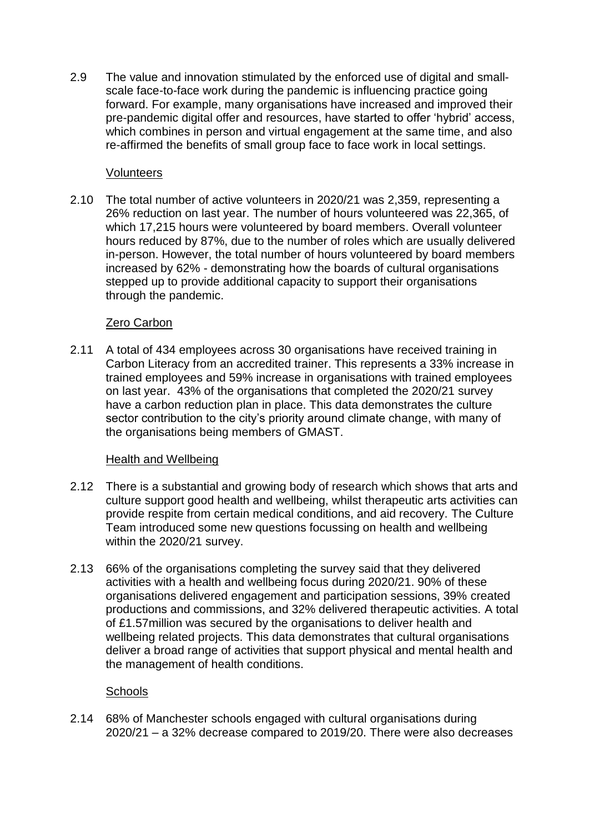2.9 The value and innovation stimulated by the enforced use of digital and smallscale face-to-face work during the pandemic is influencing practice going forward. For example, many organisations have increased and improved their pre-pandemic digital offer and resources, have started to offer 'hybrid' access, which combines in person and virtual engagement at the same time, and also re-affirmed the benefits of small group face to face work in local settings.

## Volunteers

2.10 The total number of active volunteers in 2020/21 was 2,359, representing a 26% reduction on last year. The number of hours volunteered was 22,365, of which 17,215 hours were volunteered by board members. Overall volunteer hours reduced by 87%, due to the number of roles which are usually delivered in-person. However, the total number of hours volunteered by board members increased by 62% - demonstrating how the boards of cultural organisations stepped up to provide additional capacity to support their organisations through the pandemic.

## Zero Carbon

2.11 A total of 434 employees across 30 organisations have received training in Carbon Literacy from an accredited trainer. This represents a 33% increase in trained employees and 59% increase in organisations with trained employees on last year. 43% of the organisations that completed the 2020/21 survey have a carbon reduction plan in place. This data demonstrates the culture sector contribution to the city's priority around climate change, with many of the organisations being members of GMAST.

#### Health and Wellbeing

- 2.12 There is a substantial and growing body of research which shows that arts and culture support good health and wellbeing, whilst therapeutic arts activities can provide respite from certain medical conditions, and aid recovery. The Culture Team introduced some new questions focussing on health and wellbeing within the 2020/21 survey.
- 2.13 66% of the organisations completing the survey said that they delivered activities with a health and wellbeing focus during 2020/21. 90% of these organisations delivered engagement and participation sessions, 39% created productions and commissions, and 32% delivered therapeutic activities. A total of £1.57million was secured by the organisations to deliver health and wellbeing related projects. This data demonstrates that cultural organisations deliver a broad range of activities that support physical and mental health and the management of health conditions.

#### **Schools**

2.14 68% of Manchester schools engaged with cultural organisations during 2020/21 – a 32% decrease compared to 2019/20. There were also decreases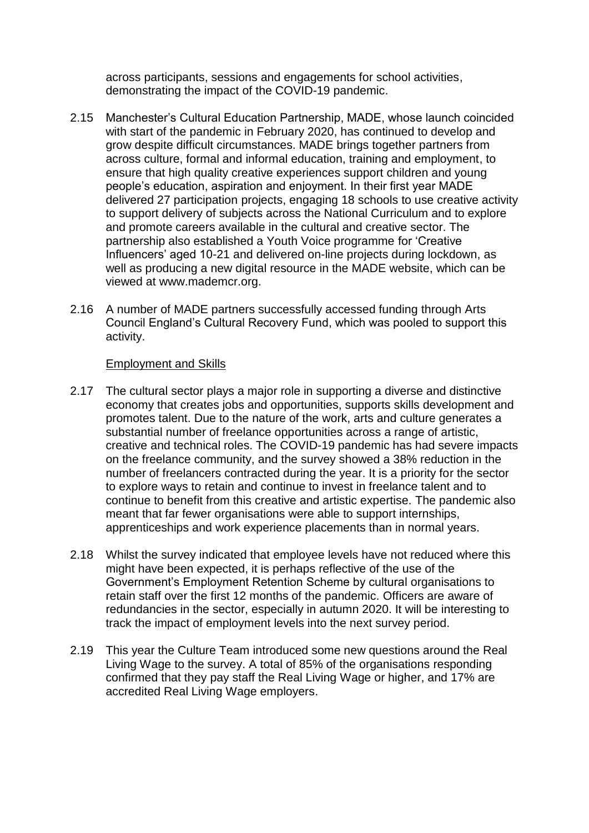across participants, sessions and engagements for school activities, demonstrating the impact of the COVID-19 pandemic.

- 2.15 Manchester's Cultural Education Partnership, MADE, whose launch coincided with start of the pandemic in February 2020, has continued to develop and grow despite difficult circumstances. MADE brings together partners from across culture, formal and informal education, training and employment, to ensure that high quality creative experiences support children and young people's education, aspiration and enjoyment. In their first year MADE delivered 27 participation projects, engaging 18 schools to use creative activity to support delivery of subjects across the National Curriculum and to explore and promote careers available in the cultural and creative sector. The partnership also established a Youth Voice programme for 'Creative Influencers' aged 10-21 and delivered on-line projects during lockdown, as well as producing a new digital resource in the MADE website, which can be viewed at www.mademcr.org.
- 2.16 A number of MADE partners successfully accessed funding through Arts Council England's Cultural Recovery Fund, which was pooled to support this activity.

#### Employment and Skills

- 2.17 The cultural sector plays a major role in supporting a diverse and distinctive economy that creates jobs and opportunities, supports skills development and promotes talent. Due to the nature of the work, arts and culture generates a substantial number of freelance opportunities across a range of artistic, creative and technical roles. The COVID-19 pandemic has had severe impacts on the freelance community, and the survey showed a 38% reduction in the number of freelancers contracted during the year. It is a priority for the sector to explore ways to retain and continue to invest in freelance talent and to continue to benefit from this creative and artistic expertise. The pandemic also meant that far fewer organisations were able to support internships, apprenticeships and work experience placements than in normal years.
- 2.18 Whilst the survey indicated that employee levels have not reduced where this might have been expected, it is perhaps reflective of the use of the Government's Employment Retention Scheme by cultural organisations to retain staff over the first 12 months of the pandemic. Officers are aware of redundancies in the sector, especially in autumn 2020. It will be interesting to track the impact of employment levels into the next survey period.
- 2.19 This year the Culture Team introduced some new questions around the Real Living Wage to the survey. A total of 85% of the organisations responding confirmed that they pay staff the Real Living Wage or higher, and 17% are accredited Real Living Wage employers.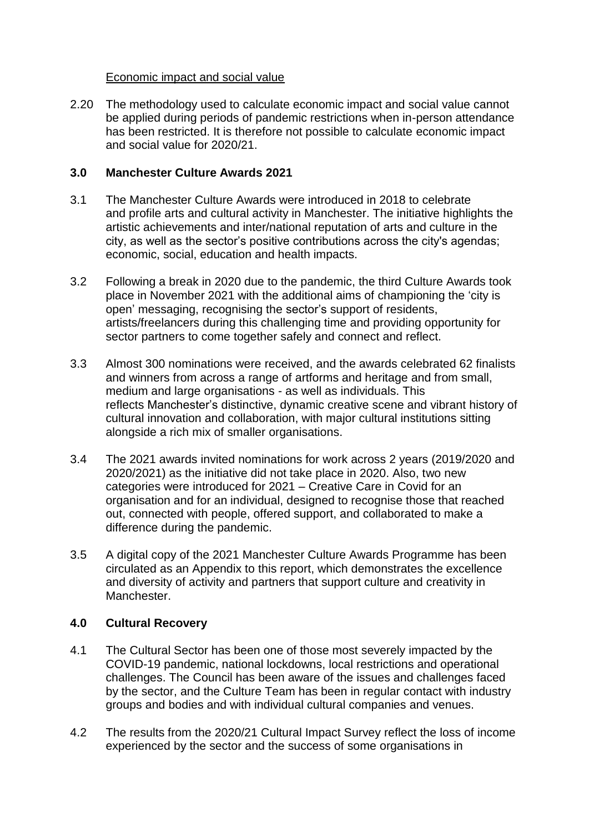## Economic impact and social value

2.20 The methodology used to calculate economic impact and social value cannot be applied during periods of pandemic restrictions when in-person attendance has been restricted. It is therefore not possible to calculate economic impact and social value for 2020/21.

## **3.0 Manchester Culture Awards 2021**

- 3.1 The Manchester Culture Awards were introduced in 2018 to celebrate and profile arts and cultural activity in Manchester. The initiative highlights the artistic achievements and inter/national reputation of arts and culture in the city, as well as the sector's positive contributions across the city's agendas; economic, social, education and health impacts.
- 3.2 Following a break in 2020 due to the pandemic, the third Culture Awards took place in November 2021 with the additional aims of championing the 'city is open' messaging, recognising the sector's support of residents, artists/freelancers during this challenging time and providing opportunity for sector partners to come together safely and connect and reflect.
- 3.3 Almost 300 nominations were received, and the awards celebrated 62 finalists and winners from across a range of artforms and heritage and from small, medium and large organisations - as well as individuals. This reflects Manchester's distinctive, dynamic creative scene and vibrant history of cultural innovation and collaboration, with major cultural institutions sitting alongside a rich mix of smaller organisations.
- 3.4 The 2021 awards invited nominations for work across 2 years (2019/2020 and 2020/2021) as the initiative did not take place in 2020. Also, two new categories were introduced for 2021 – Creative Care in Covid for an organisation and for an individual, designed to recognise those that reached out, connected with people, offered support, and collaborated to make a difference during the pandemic.
- 3.5 A digital copy of the 2021 Manchester Culture Awards Programme has been circulated as an Appendix to this report, which demonstrates the excellence and diversity of activity and partners that support culture and creativity in Manchester.

## **4.0 Cultural Recovery**

- 4.1 The Cultural Sector has been one of those most severely impacted by the COVID-19 pandemic, national lockdowns, local restrictions and operational challenges. The Council has been aware of the issues and challenges faced by the sector, and the Culture Team has been in regular contact with industry groups and bodies and with individual cultural companies and venues.
- 4.2 The results from the 2020/21 Cultural Impact Survey reflect the loss of income experienced by the sector and the success of some organisations in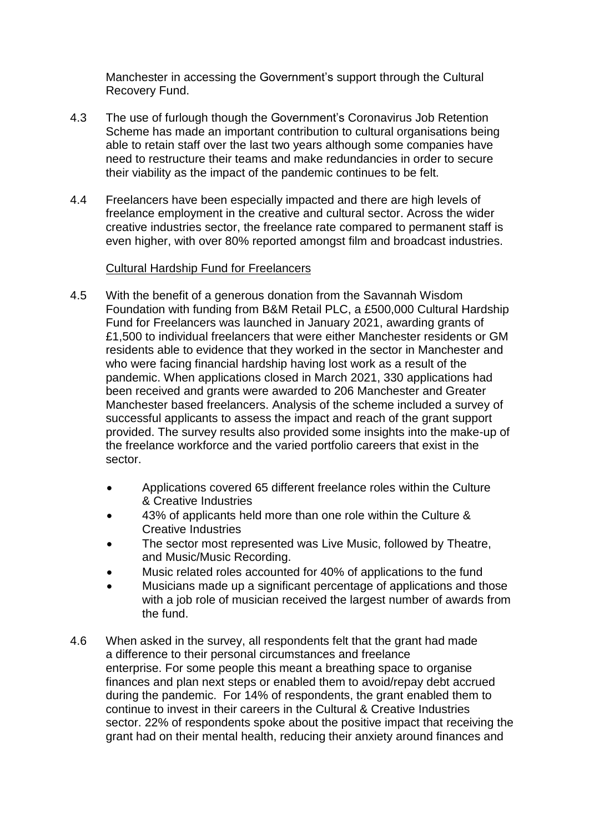Manchester in accessing the Government's support through the Cultural Recovery Fund.

- 4.3 The use of furlough though the Government's Coronavirus Job Retention Scheme has made an important contribution to cultural organisations being able to retain staff over the last two years although some companies have need to restructure their teams and make redundancies in order to secure their viability as the impact of the pandemic continues to be felt.
- 4.4 Freelancers have been especially impacted and there are high levels of freelance employment in the creative and cultural sector. Across the wider creative industries sector, the freelance rate compared to permanent staff is even higher, with over 80% reported amongst film and broadcast industries.

## Cultural Hardship Fund for Freelancers

- 4.5 With the benefit of a generous donation from the Savannah Wisdom Foundation with funding from B&M Retail PLC, a £500,000 Cultural Hardship Fund for Freelancers was launched in January 2021, awarding grants of £1,500 to individual freelancers that were either Manchester residents or GM residents able to evidence that they worked in the sector in Manchester and who were facing financial hardship having lost work as a result of the pandemic. When applications closed in March 2021, 330 applications had been received and grants were awarded to 206 Manchester and Greater Manchester based freelancers. Analysis of the scheme included a survey of successful applicants to assess the impact and reach of the grant support provided. The survey results also provided some insights into the make-up of the freelance workforce and the varied portfolio careers that exist in the sector.
	- Applications covered 65 different freelance roles within the Culture & Creative Industries
	- 43% of applicants held more than one role within the Culture & Creative Industries
	- The sector most represented was Live Music, followed by Theatre, and Music/Music Recording.
	- Music related roles accounted for 40% of applications to the fund
	- Musicians made up a significant percentage of applications and those with a job role of musician received the largest number of awards from the fund.
- 4.6 When asked in the survey, all respondents felt that the grant had made a difference to their personal circumstances and freelance enterprise. For some people this meant a breathing space to organise finances and plan next steps or enabled them to avoid/repay debt accrued during the pandemic. For 14% of respondents, the grant enabled them to continue to invest in their careers in the Cultural & Creative Industries sector. 22% of respondents spoke about the positive impact that receiving the grant had on their mental health, reducing their anxiety around finances and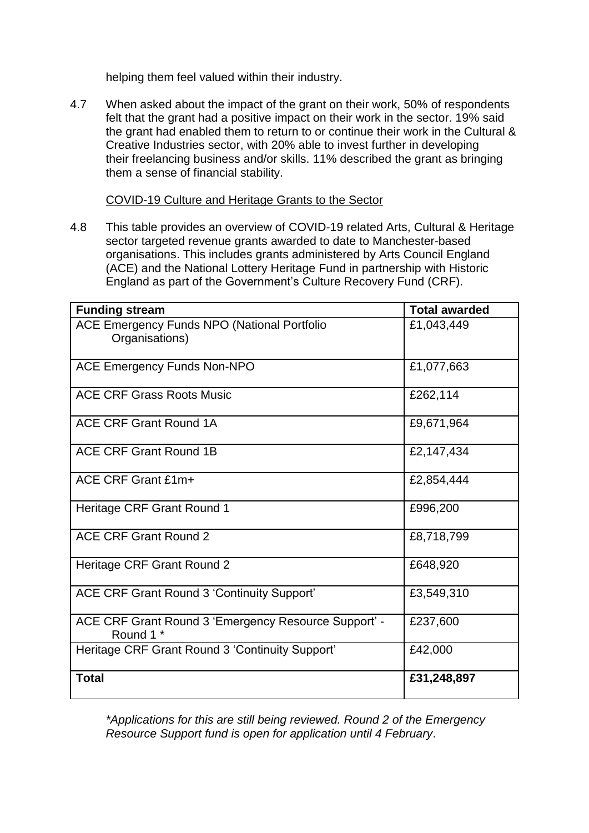helping them feel valued within their industry.

4.7 When asked about the impact of the grant on their work, 50% of respondents felt that the grant had a positive impact on their work in the sector. 19% said the grant had enabled them to return to or continue their work in the Cultural & Creative Industries sector, with 20% able to invest further in developing their freelancing business and/or skills. 11% described the grant as bringing them a sense of financial stability.

COVID-19 Culture and Heritage Grants to the Sector

4.8 This table provides an overview of COVID-19 related Arts, Cultural & Heritage sector targeted revenue grants awarded to date to Manchester-based organisations. This includes grants administered by Arts Council England (ACE) and the National Lottery Heritage Fund in partnership with Historic England as part of the Government's Culture Recovery Fund (CRF).

| <b>Funding stream</b>                                                | <b>Total awarded</b> |
|----------------------------------------------------------------------|----------------------|
| <b>ACE Emergency Funds NPO (National Portfolio</b><br>Organisations) | £1,043,449           |
| <b>ACE Emergency Funds Non-NPO</b>                                   | £1,077,663           |
| <b>ACE CRF Grass Roots Music</b>                                     | £262,114             |
| ACE CRF Grant Round 1A                                               | £9,671,964           |
| <b>ACE CRF Grant Round 1B</b>                                        | £2,147,434           |
| ACE CRF Grant £1m+                                                   | £2,854,444           |
| Heritage CRF Grant Round 1                                           | £996,200             |
| <b>ACE CRF Grant Round 2</b>                                         | £8,718,799           |
| Heritage CRF Grant Round 2                                           | £648,920             |
| ACE CRF Grant Round 3 'Continuity Support'                           | £3,549,310           |
| ACE CRF Grant Round 3 'Emergency Resource Support' -<br>Round 1 *    | £237,600             |
| Heritage CRF Grant Round 3 'Continuity Support'                      | £42,000              |
| <b>Total</b>                                                         | £31,248,897          |

*\*Applications for this are still being reviewed. Round 2 of the Emergency Resource Support fund is open for application until 4 February*.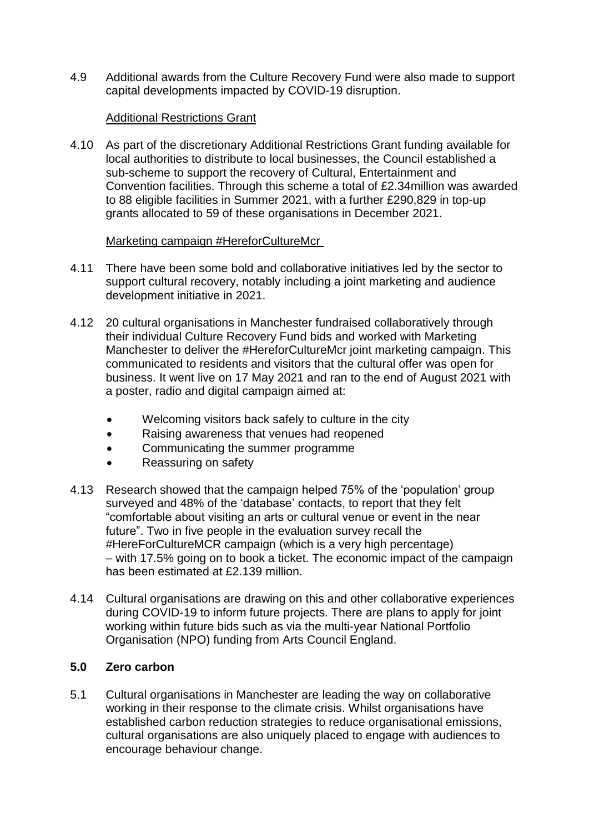4.9 Additional awards from the Culture Recovery Fund were also made to support capital developments impacted by COVID-19 disruption.

## Additional Restrictions Grant

4.10 As part of the discretionary Additional Restrictions Grant funding available for local authorities to distribute to local businesses, the Council established a sub-scheme to support the recovery of Cultural, Entertainment and Convention facilities. Through this scheme a total of £2.34million was awarded to 88 eligible facilities in Summer 2021, with a further £290,829 in top-up grants allocated to 59 of these organisations in December 2021.

## Marketing campaign #HereforCultureMcr

- 4.11 There have been some bold and collaborative initiatives led by the sector to support cultural recovery, notably including a joint marketing and audience development initiative in 2021.
- 4.12 20 cultural organisations in Manchester fundraised collaboratively through their individual Culture Recovery Fund bids and worked with Marketing Manchester to deliver the #HereforCultureMcr joint marketing campaign. This communicated to residents and visitors that the cultural offer was open for business. It went live on 17 May 2021 and ran to the end of August 2021 with a poster, radio and digital campaign aimed at:
	- Welcoming visitors back safely to culture in the city
	- Raising awareness that venues had reopened
	- Communicating the summer programme
	- Reassuring on safety
- 4.13 Research showed that the campaign helped 75% of the 'population' group surveyed and 48% of the 'database' contacts, to report that they felt "comfortable about visiting an arts or cultural venue or event in the near future". Two in five people in the evaluation survey recall the #HereForCultureMCR campaign (which is a very high percentage) – with 17.5% going on to book a ticket. The economic impact of the campaign has been estimated at £2.139 million.
- 4.14 Cultural organisations are drawing on this and other collaborative experiences during COVID-19 to inform future projects. There are plans to apply for joint working within future bids such as via the multi-year National Portfolio Organisation (NPO) funding from Arts Council England.

## **5.0 Zero carbon**

5.1 Cultural organisations in Manchester are leading the way on collaborative working in their response to the climate crisis. Whilst organisations have established carbon reduction strategies to reduce organisational emissions, cultural organisations are also uniquely placed to engage with audiences to encourage behaviour change.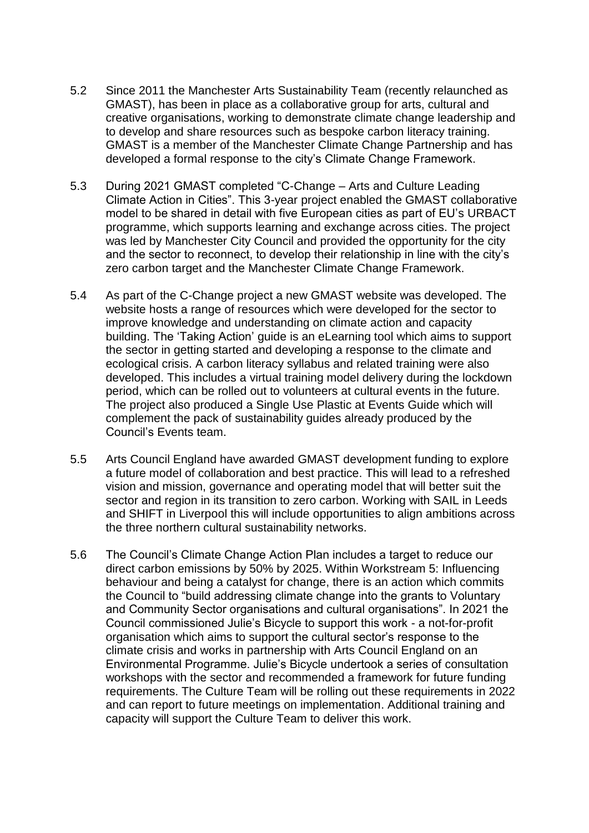- 5.2 Since 2011 the Manchester Arts Sustainability Team (recently relaunched as GMAST), has been in place as a collaborative group for arts, cultural and creative organisations, working to demonstrate climate change leadership and to develop and share resources such as bespoke carbon literacy training. GMAST is a member of the Manchester Climate Change Partnership and has developed a formal response to the city's Climate Change Framework.
- 5.3 During 2021 GMAST completed "C-Change Arts and Culture Leading Climate Action in Cities". This 3-year project enabled the GMAST collaborative model to be shared in detail with five European cities as part of EU's URBACT programme, which supports learning and exchange across cities. The project was led by Manchester City Council and provided the opportunity for the city and the sector to reconnect, to develop their relationship in line with the city's zero carbon target and the Manchester Climate Change Framework.
- 5.4 As part of the C-Change project a new GMAST website was developed. The website hosts a range of resources which were developed for the sector to improve knowledge and understanding on climate action and capacity building. The 'Taking Action' guide is an eLearning tool which aims to support the sector in getting started and developing a response to the climate and ecological crisis. A carbon literacy syllabus and related training were also developed. This includes a virtual training model delivery during the lockdown period, which can be rolled out to volunteers at cultural events in the future. The project also produced a Single Use Plastic at Events Guide which will complement the pack of sustainability guides already produced by the Council's Events team.
- 5.5 Arts Council England have awarded GMAST development funding to explore a future model of collaboration and best practice. This will lead to a refreshed vision and mission, governance and operating model that will better suit the sector and region in its transition to zero carbon. Working with SAIL in Leeds and SHIFT in Liverpool this will include opportunities to align ambitions across the three northern cultural sustainability networks.
- 5.6 The Council's Climate Change Action Plan includes a target to reduce our direct carbon emissions by 50% by 2025. Within Workstream 5: Influencing behaviour and being a catalyst for change, there is an action which commits the Council to "build addressing climate change into the grants to Voluntary and Community Sector organisations and cultural organisations". In 2021 the Council commissioned Julie's Bicycle to support this work - a not-for-profit organisation which aims to support the cultural sector's response to the climate crisis and works in partnership with Arts Council England on an Environmental Programme. Julie's Bicycle undertook a series of consultation workshops with the sector and recommended a framework for future funding requirements. The Culture Team will be rolling out these requirements in 2022 and can report to future meetings on implementation. Additional training and capacity will support the Culture Team to deliver this work.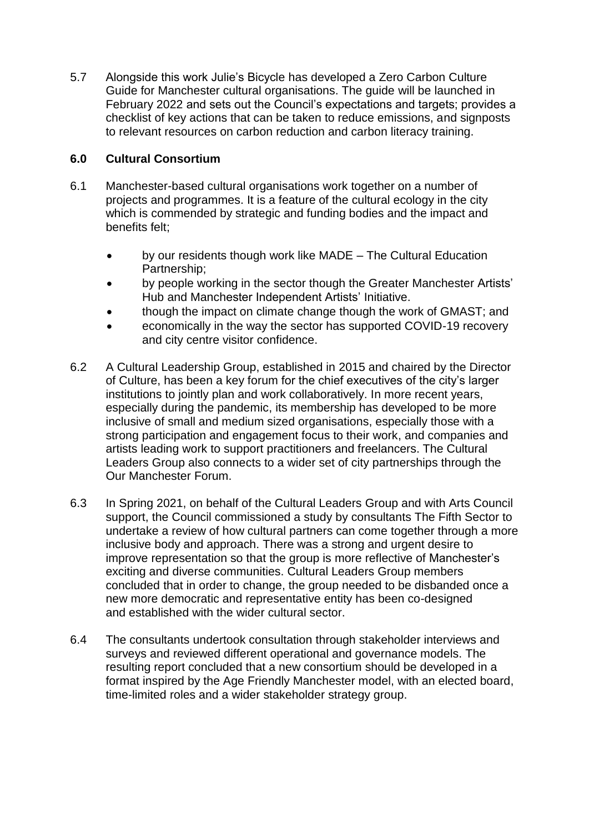5.7 Alongside this work Julie's Bicycle has developed a Zero Carbon Culture Guide for Manchester cultural organisations. The guide will be launched in February 2022 and sets out the Council's expectations and targets; provides a checklist of key actions that can be taken to reduce emissions, and signposts to relevant resources on carbon reduction and carbon literacy training.

# **6.0 Cultural Consortium**

- 6.1 Manchester-based cultural organisations work together on a number of projects and programmes. It is a feature of the cultural ecology in the city which is commended by strategic and funding bodies and the impact and benefits felt;
	- by our residents though work like MADE The Cultural Education Partnership;
	- by people working in the sector though the Greater Manchester Artists' Hub and Manchester Independent Artists' Initiative.
	- though the impact on climate change though the work of GMAST; and
	- economically in the way the sector has supported COVID-19 recovery and city centre visitor confidence.
- 6.2 A Cultural Leadership Group, established in 2015 and chaired by the Director of Culture, has been a key forum for the chief executives of the city's larger institutions to jointly plan and work collaboratively. In more recent years, especially during the pandemic, its membership has developed to be more inclusive of small and medium sized organisations, especially those with a strong participation and engagement focus to their work, and companies and artists leading work to support practitioners and freelancers. The Cultural Leaders Group also connects to a wider set of city partnerships through the Our Manchester Forum.
- 6.3 In Spring 2021, on behalf of the Cultural Leaders Group and with Arts Council support, the Council commissioned a study by consultants The Fifth Sector to undertake a review of how cultural partners can come together through a more inclusive body and approach. There was a strong and urgent desire to improve representation so that the group is more reflective of Manchester's exciting and diverse communities. Cultural Leaders Group members concluded that in order to change, the group needed to be disbanded once a new more democratic and representative entity has been co-designed and established with the wider cultural sector.
- 6.4 The consultants undertook consultation through stakeholder interviews and surveys and reviewed different operational and governance models. The resulting report concluded that a new consortium should be developed in a format inspired by the Age Friendly Manchester model, with an elected board, time-limited roles and a wider stakeholder strategy group.